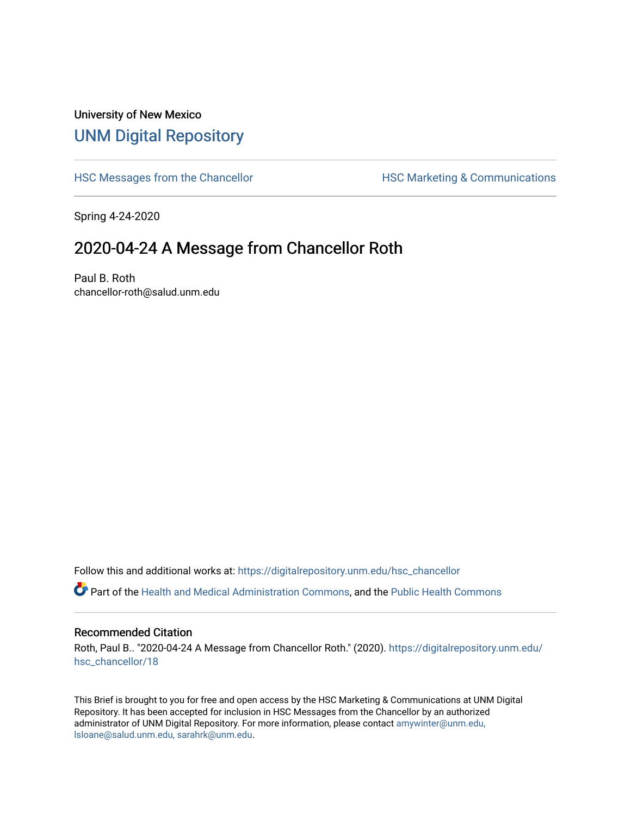## University of New Mexico [UNM Digital Repository](https://digitalrepository.unm.edu/)

[HSC Messages from the Chancellor](https://digitalrepository.unm.edu/hsc_chancellor) **HSC Marketing & Communications** 

Spring 4-24-2020

## 2020-04-24 A Message from Chancellor Roth

Paul B. Roth chancellor-roth@salud.unm.edu

Follow this and additional works at: [https://digitalrepository.unm.edu/hsc\\_chancellor](https://digitalrepository.unm.edu/hsc_chancellor?utm_source=digitalrepository.unm.edu%2Fhsc_chancellor%2F18&utm_medium=PDF&utm_campaign=PDFCoverPages) 

Part of the [Health and Medical Administration Commons](http://network.bepress.com/hgg/discipline/663?utm_source=digitalrepository.unm.edu%2Fhsc_chancellor%2F18&utm_medium=PDF&utm_campaign=PDFCoverPages), and the [Public Health Commons](http://network.bepress.com/hgg/discipline/738?utm_source=digitalrepository.unm.edu%2Fhsc_chancellor%2F18&utm_medium=PDF&utm_campaign=PDFCoverPages) 

## Recommended Citation

Roth, Paul B.. "2020-04-24 A Message from Chancellor Roth." (2020). [https://digitalrepository.unm.edu/](https://digitalrepository.unm.edu/hsc_chancellor/18?utm_source=digitalrepository.unm.edu%2Fhsc_chancellor%2F18&utm_medium=PDF&utm_campaign=PDFCoverPages) [hsc\\_chancellor/18](https://digitalrepository.unm.edu/hsc_chancellor/18?utm_source=digitalrepository.unm.edu%2Fhsc_chancellor%2F18&utm_medium=PDF&utm_campaign=PDFCoverPages) 

This Brief is brought to you for free and open access by the HSC Marketing & Communications at UNM Digital Repository. It has been accepted for inclusion in HSC Messages from the Chancellor by an authorized administrator of UNM Digital Repository. For more information, please contact [amywinter@unm.edu,](mailto:amywinter@unm.edu,%20lsloane@salud.unm.edu,%20sarahrk@unm.edu) [lsloane@salud.unm.edu, sarahrk@unm.edu.](mailto:amywinter@unm.edu,%20lsloane@salud.unm.edu,%20sarahrk@unm.edu)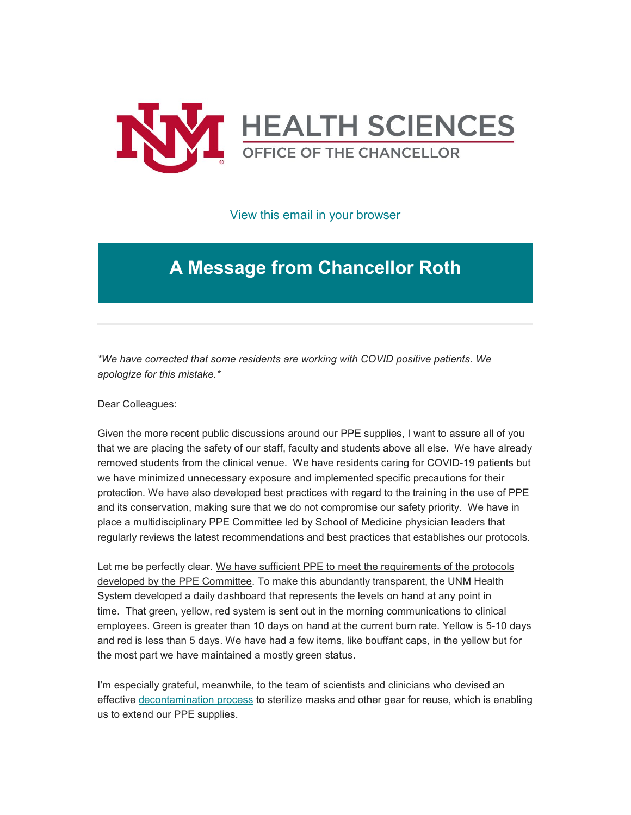

[View this email in your browser](https://mailchi.mp/99250d47899e/message-from-the-chancellor-coronavirus-4397184?e=b4bbfca2c0)

## **A Message from Chancellor Roth**

*\*We have corrected that some residents are working with COVID positive patients. We apologize for this mistake.\**

Dear Colleagues:

Given the more recent public discussions around our PPE supplies, I want to assure all of you that we are placing the safety of our staff, faculty and students above all else. We have already removed students from the clinical venue. We have residents caring for COVID-19 patients but we have minimized unnecessary exposure and implemented specific precautions for their protection. We have also developed best practices with regard to the training in the use of PPE and its conservation, making sure that we do not compromise our safety priority. We have in place a multidisciplinary PPE Committee led by School of Medicine physician leaders that regularly reviews the latest recommendations and best practices that establishes our protocols.

Let me be perfectly clear. We have sufficient PPE to meet the requirements of the protocols developed by the PPE Committee. To make this abundantly transparent, the UNM Health System developed a daily dashboard that represents the levels on hand at any point in time. That green, yellow, red system is sent out in the morning communications to clinical employees. Green is greater than 10 days on hand at the current burn rate. Yellow is 5-10 days and red is less than 5 days. We have had a few items, like bouffant caps, in the yellow but for the most part we have maintained a mostly green status.

I'm especially grateful, meanwhile, to the team of scientists and clinicians who devised an effective [decontamination process](https://unm.us19.list-manage.com/track/click?u=59ce53c1a4dedb490bac78648&id=d931108b4c&e=b4bbfca2c0) to sterilize masks and other gear for reuse, which is enabling us to extend our PPE supplies.